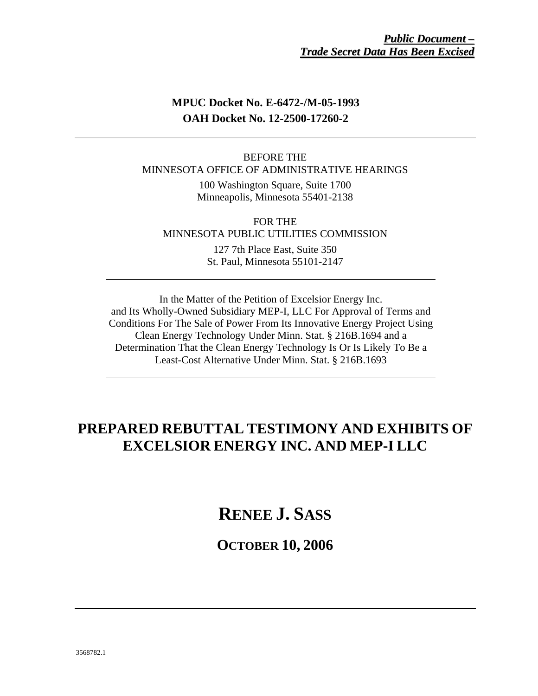## **MPUC Docket No. E-6472-/M-05-1993 OAH Docket No. 12-2500-17260-2**

## BEFORE THE MINNESOTA OFFICE OF ADMINISTRATIVE HEARINGS

100 Washington Square, Suite 1700 Minneapolis, Minnesota 55401-2138

FOR THE MINNESOTA PUBLIC UTILITIES COMMISSION

> 127 7th Place East, Suite 350 St. Paul, Minnesota 55101-2147

In the Matter of the Petition of Excelsior Energy Inc. and Its Wholly-Owned Subsidiary MEP-I, LLC For Approval of Terms and Conditions For The Sale of Power From Its Innovative Energy Project Using Clean Energy Technology Under Minn. Stat. § 216B.1694 and a Determination That the Clean Energy Technology Is Or Is Likely To Be a Least-Cost Alternative Under Minn. Stat. § 216B.1693

# **PREPARED REBUTTAL TESTIMONY AND EXHIBITS OF EXCELSIOR ENERGY INC. AND MEP-I LLC**

**RENEE J. SASS**

**OCTOBER 10, 2006**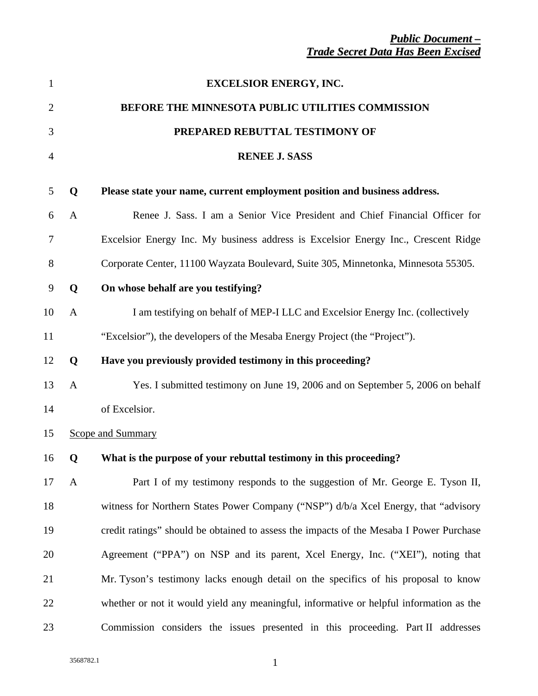| $\mathbf{1}$   |              | <b>EXCELSIOR ENERGY, INC.</b>                                                           |
|----------------|--------------|-----------------------------------------------------------------------------------------|
| $\overline{c}$ |              | BEFORE THE MINNESOTA PUBLIC UTILITIES COMMISSION                                        |
| 3              |              | PREPARED REBUTTAL TESTIMONY OF                                                          |
| 4              |              | <b>RENEE J. SASS</b>                                                                    |
| 5              | Q            | Please state your name, current employment position and business address.               |
| 6              | A            | Renee J. Sass. I am a Senior Vice President and Chief Financial Officer for             |
| 7              |              | Excelsior Energy Inc. My business address is Excelsior Energy Inc., Crescent Ridge      |
| 8              |              | Corporate Center, 11100 Wayzata Boulevard, Suite 305, Minnetonka, Minnesota 55305.      |
| 9              | Q            | On whose behalf are you testifying?                                                     |
| 10             | $\mathbf{A}$ | I am testifying on behalf of MEP-I LLC and Excelsior Energy Inc. (collectively          |
| 11             |              | "Excelsior"), the developers of the Mesaba Energy Project (the "Project").              |
| 12             | Q            | Have you previously provided testimony in this proceeding?                              |
| 13             | A            | Yes. I submitted testimony on June 19, 2006 and on September 5, 2006 on behalf          |
| 14             |              | of Excelsior.                                                                           |
| 15             |              | <b>Scope and Summary</b>                                                                |
| 16             | Q            | What is the purpose of your rebuttal testimony in this proceeding?                      |
| 17             | A            | Part I of my testimony responds to the suggestion of Mr. George E. Tyson II,            |
| 18             |              | witness for Northern States Power Company ("NSP") d/b/a Xcel Energy, that "advisory     |
| 19             |              | credit ratings" should be obtained to assess the impacts of the Mesaba I Power Purchase |
| 20             |              | Agreement ("PPA") on NSP and its parent, Xcel Energy, Inc. ("XEI"), noting that         |
| 21             |              | Mr. Tyson's testimony lacks enough detail on the specifics of his proposal to know      |
| 22             |              | whether or not it would yield any meaningful, informative or helpful information as the |
| 23             |              | Commission considers the issues presented in this proceeding. Part II addresses         |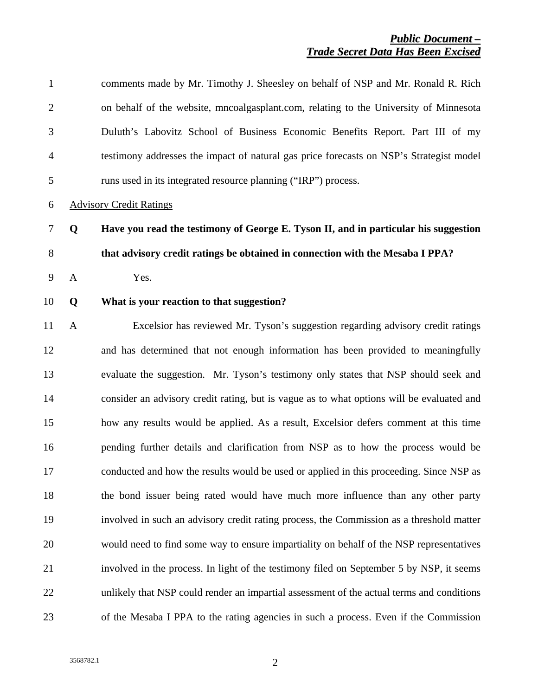| $\mathbf{1}$   |              | comments made by Mr. Timothy J. Sheesley on behalf of NSP and Mr. Ronald R. Rich          |
|----------------|--------------|-------------------------------------------------------------------------------------------|
| $\overline{2}$ |              | on behalf of the website, mncoalgasplant.com, relating to the University of Minnesota     |
| 3              |              | Duluth's Labovitz School of Business Economic Benefits Report. Part III of my             |
| 4              |              | testimony addresses the impact of natural gas price forecasts on NSP's Strategist model   |
| 5              |              | runs used in its integrated resource planning ("IRP") process.                            |
| 6              |              | <b>Advisory Credit Ratings</b>                                                            |
| $\tau$         | Q            | Have you read the testimony of George E. Tyson II, and in particular his suggestion       |
| $8\,$          |              | that advisory credit ratings be obtained in connection with the Mesaba I PPA?             |
| 9              | $\mathbf{A}$ | Yes.                                                                                      |
| 10             | Q            | What is your reaction to that suggestion?                                                 |
| 11             | $\mathbf{A}$ | Excelsior has reviewed Mr. Tyson's suggestion regarding advisory credit ratings           |
| 12             |              | and has determined that not enough information has been provided to meaningfully          |
| 13             |              | evaluate the suggestion. Mr. Tyson's testimony only states that NSP should seek and       |
| 14             |              | consider an advisory credit rating, but is vague as to what options will be evaluated and |
| 15             |              | how any results would be applied. As a result, Excelsior defers comment at this time      |
| 16             |              | pending further details and clarification from NSP as to how the process would be         |
| 17             |              | conducted and how the results would be used or applied in this proceeding. Since NSP as   |
| 18             |              | the bond issuer being rated would have much more influence than any other party           |
| 19             |              | involved in such an advisory credit rating process, the Commission as a threshold matter  |
| 20             |              | would need to find some way to ensure impartiality on behalf of the NSP representatives   |
| 21             |              | involved in the process. In light of the testimony filed on September 5 by NSP, it seems  |
| 22             |              | unlikely that NSP could render an impartial assessment of the actual terms and conditions |
| 23             |              | of the Mesaba I PPA to the rating agencies in such a process. Even if the Commission      |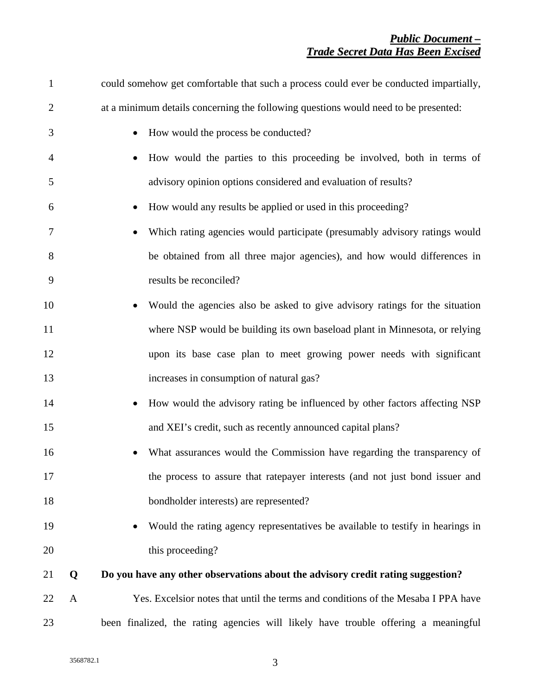| $\mathbf{1}$   |   | could somehow get comfortable that such a process could ever be conducted impartially, |
|----------------|---|----------------------------------------------------------------------------------------|
| $\overline{2}$ |   | at a minimum details concerning the following questions would need to be presented:    |
| 3              |   | How would the process be conducted?                                                    |
| $\overline{4}$ |   | How would the parties to this proceeding be involved, both in terms of                 |
| 5              |   | advisory opinion options considered and evaluation of results?                         |
| 6              |   | How would any results be applied or used in this proceeding?                           |
| 7              |   | Which rating agencies would participate (presumably advisory ratings would             |
| 8              |   | be obtained from all three major agencies), and how would differences in               |
| 9              |   | results be reconciled?                                                                 |
| 10             |   | Would the agencies also be asked to give advisory ratings for the situation            |
| 11             |   | where NSP would be building its own baseload plant in Minnesota, or relying            |
| 12             |   | upon its base case plan to meet growing power needs with significant                   |
| 13             |   | increases in consumption of natural gas?                                               |
| 14             |   | How would the advisory rating be influenced by other factors affecting NSP             |
| 15             |   | and XEI's credit, such as recently announced capital plans?                            |
| 16             |   | What assurances would the Commission have regarding the transparency of                |
| 17             |   | the process to assure that ratepayer interests (and not just bond issuer and           |
| 18             |   | bondholder interests) are represented?                                                 |
| 19             |   | Would the rating agency representatives be available to testify in hearings in         |
| 20             |   | this proceeding?                                                                       |
| 21             | Q | Do you have any other observations about the advisory credit rating suggestion?        |
| 22             | A | Yes. Excelsior notes that until the terms and conditions of the Mesaba I PPA have      |
| 23             |   | been finalized, the rating agencies will likely have trouble offering a meaningful     |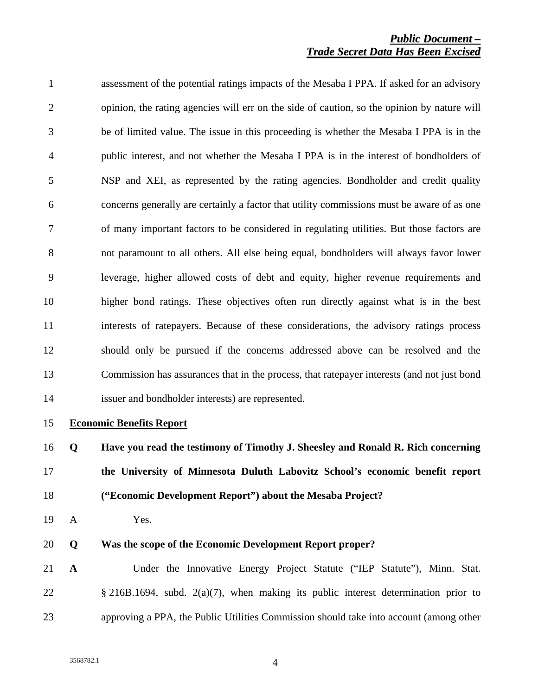1 assessment of the potential ratings impacts of the Mesaba I PPA. If asked for an advisory 2 opinion, the rating agencies will err on the side of caution, so the opinion by nature will 3 be of limited value. The issue in this proceeding is whether the Mesaba I PPA is in the 4 public interest, and not whether the Mesaba I PPA is in the interest of bondholders of 5 NSP and XEI, as represented by the rating agencies. Bondholder and credit quality 6 concerns generally are certainly a factor that utility commissions must be aware of as one 7 of many important factors to be considered in regulating utilities. But those factors are 8 not paramount to all others. All else being equal, bondholders will always favor lower 9 leverage, higher allowed costs of debt and equity, higher revenue requirements and 10 higher bond ratings. These objectives often run directly against what is in the best 11 interests of ratepayers. Because of these considerations, the advisory ratings process 12 should only be pursued if the concerns addressed above can be resolved and the 13 Commission has assurances that in the process, that ratepayer interests (and not just bond 14 issuer and bondholder interests) are represented.

#### 15 **Economic Benefits Report**

16 **Q Have you read the testimony of Timothy J. Sheesley and Ronald R. Rich concerning**  17 **the University of Minnesota Duluth Labovitz School's economic benefit report**  18 **("Economic Development Report") about the Mesaba Project?** 

19 A Yes.

#### 20 **Q Was the scope of the Economic Development Report proper?**

21 **A** Under the Innovative Energy Project Statute ("IEP Statute"), Minn. Stat. 22 § 216B.1694, subd. 2(a)(7), when making its public interest determination prior to 23 approving a PPA, the Public Utilities Commission should take into account (among other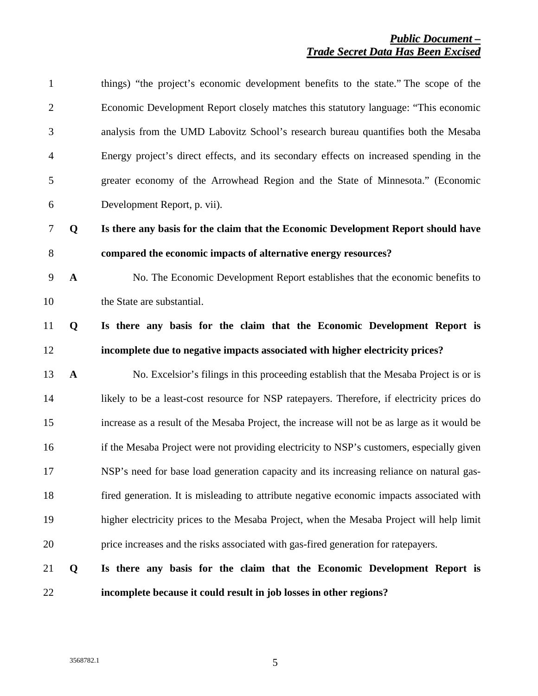| 22               |              | incomplete because it could result in job losses in other regions?                           |
|------------------|--------------|----------------------------------------------------------------------------------------------|
| 21               | Q            | Is there any basis for the claim that the Economic Development Report is                     |
| 20               |              | price increases and the risks associated with gas-fired generation for ratepayers.           |
| 19               |              | higher electricity prices to the Mesaba Project, when the Mesaba Project will help limit     |
| 18               |              | fired generation. It is misleading to attribute negative economic impacts associated with    |
| 17               |              | NSP's need for base load generation capacity and its increasing reliance on natural gas-     |
| 16               |              | if the Mesaba Project were not providing electricity to NSP's customers, especially given    |
| 15               |              | increase as a result of the Mesaba Project, the increase will not be as large as it would be |
| 14               |              | likely to be a least-cost resource for NSP ratepayers. Therefore, if electricity prices do   |
| 13               | $\mathbf{A}$ | No. Excelsior's filings in this proceeding establish that the Mesaba Project is or is        |
| 12               |              | incomplete due to negative impacts associated with higher electricity prices?                |
| 11               | Q            | Is there any basis for the claim that the Economic Development Report is                     |
| 10               |              | the State are substantial.                                                                   |
| $\boldsymbol{9}$ | $\mathbf A$  | No. The Economic Development Report establishes that the economic benefits to                |
| $8\,$            |              | compared the economic impacts of alternative energy resources?                               |
| $\tau$           | Q            | Is there any basis for the claim that the Economic Development Report should have            |
| 6                |              | Development Report, p. vii).                                                                 |
| 5                |              | greater economy of the Arrowhead Region and the State of Minnesota." (Economic               |
| $\overline{4}$   |              | Energy project's direct effects, and its secondary effects on increased spending in the      |
| 3                |              | analysis from the UMD Labovitz School's research bureau quantifies both the Mesaba           |
| $\overline{2}$   |              | Economic Development Report closely matches this statutory language: "This economic          |
| $\mathbf{1}$     |              | things) "the project's economic development benefits to the state." The scope of the         |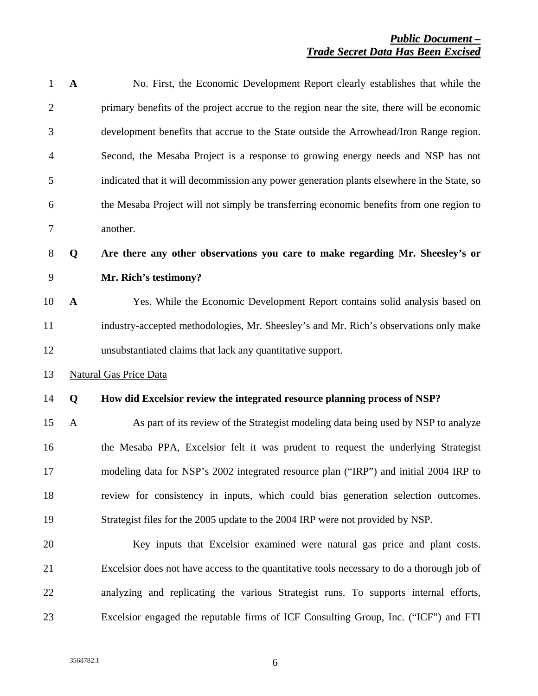| $\mathbf{1}$   | $\mathbf{A}$ | No. First, the Economic Development Report clearly establishes that while the              |
|----------------|--------------|--------------------------------------------------------------------------------------------|
| $\overline{2}$ |              | primary benefits of the project accrue to the region near the site, there will be economic |
| 3              |              | development benefits that accrue to the State outside the Arrowhead/Iron Range region.     |
| 4              |              | Second, the Mesaba Project is a response to growing energy needs and NSP has not           |
| 5              |              | indicated that it will decommission any power generation plants elsewhere in the State, so |
| 6              |              | the Mesaba Project will not simply be transferring economic benefits from one region to    |
| 7              |              | another.                                                                                   |
| $8\phantom{.}$ | Q            | Are there any other observations you care to make regarding Mr. Sheesley's or              |
| 9              |              | Mr. Rich's testimony?                                                                      |
| 10             | $\mathbf{A}$ | Yes. While the Economic Development Report contains solid analysis based on                |
| 11             |              | industry-accepted methodologies, Mr. Sheesley's and Mr. Rich's observations only make      |
| 12             |              | unsubstantiated claims that lack any quantitative support.                                 |
| 13             |              | <b>Natural Gas Price Data</b>                                                              |
| 14             | Q            | How did Excelsior review the integrated resource planning process of NSP?                  |
| 15             | A            | As part of its review of the Strategist modeling data being used by NSP to analyze         |
| 16             |              | the Mesaba PPA, Excelsior felt it was prudent to request the underlying Strategist         |
| 17             |              | modeling data for NSP's 2002 integrated resource plan ("IRP") and initial 2004 IRP to      |
| 18             |              | review for consistency in inputs, which could bias generation selection outcomes.          |
| 19             |              | Strategist files for the 2005 update to the 2004 IRP were not provided by NSP.             |
| 20             |              | Key inputs that Excelsior examined were natural gas price and plant costs.                 |
| 21             |              | Excelsior does not have access to the quantitative tools necessary to do a thorough job of |
| 22             |              | analyzing and replicating the various Strategist runs. To supports internal efforts,       |
| 23             |              | Excelsior engaged the reputable firms of ICF Consulting Group, Inc. ("ICF") and FTI        |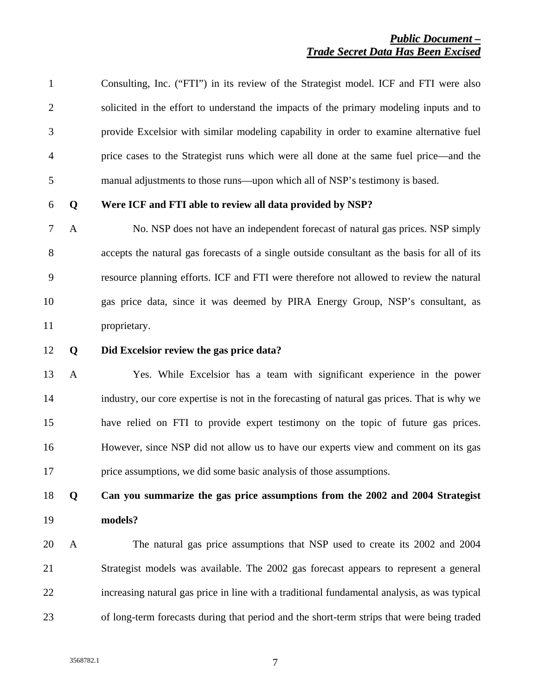| $\mathbf{1}$   |              | Consulting, Inc. ("FTI") in its review of the Strategist model. ICF and FTI were also        |
|----------------|--------------|----------------------------------------------------------------------------------------------|
| $\overline{2}$ |              | solicited in the effort to understand the impacts of the primary modeling inputs and to      |
| 3              |              | provide Excelsior with similar modeling capability in order to examine alternative fuel      |
| $\overline{4}$ |              | price cases to the Strategist runs which were all done at the same fuel price—and the        |
| 5              |              | manual adjustments to those runs—upon which all of NSP's testimony is based.                 |
| 6              | Q            | Were ICF and FTI able to review all data provided by NSP?                                    |
| 7              | $\mathbf{A}$ | No. NSP does not have an independent forecast of natural gas prices. NSP simply              |
| 8              |              | accepts the natural gas forecasts of a single outside consultant as the basis for all of its |
| 9              |              | resource planning efforts. ICF and FTI were therefore not allowed to review the natural      |
| 10             |              | gas price data, since it was deemed by PIRA Energy Group, NSP's consultant, as               |
| 11             |              | proprietary.                                                                                 |

#### 12 **Q Did Excelsior review the gas price data?**

13 A Yes. While Excelsior has a team with significant experience in the power 14 industry, our core expertise is not in the forecasting of natural gas prices. That is why we 15 have relied on FTI to provide expert testimony on the topic of future gas prices. 16 However, since NSP did not allow us to have our experts view and comment on its gas 17 price assumptions, we did some basic analysis of those assumptions.

# 18 **Q Can you summarize the gas price assumptions from the 2002 and 2004 Strategist**  19 **models?**

20 A The natural gas price assumptions that NSP used to create its 2002 and 2004 21 Strategist models was available. The 2002 gas forecast appears to represent a general 22 increasing natural gas price in line with a traditional fundamental analysis, as was typical 23 of long-term forecasts during that period and the short-term strips that were being traded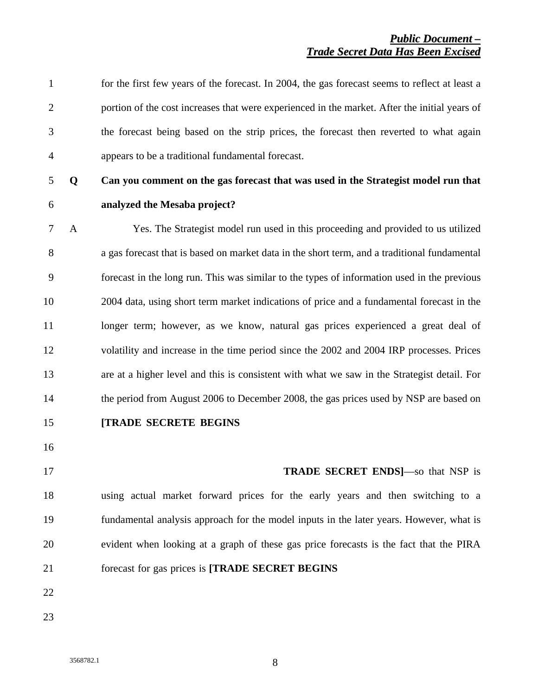| $\mathbf{1}$   |              | for the first few years of the forecast. In 2004, the gas forecast seems to reflect at least a |
|----------------|--------------|------------------------------------------------------------------------------------------------|
| $\overline{2}$ |              | portion of the cost increases that were experienced in the market. After the initial years of  |
| 3              |              | the forecast being based on the strip prices, the forecast then reverted to what again         |
| $\overline{4}$ |              | appears to be a traditional fundamental forecast.                                              |
| 5              | Q            | Can you comment on the gas forecast that was used in the Strategist model run that             |
| 6              |              | analyzed the Mesaba project?                                                                   |
| $\tau$         | $\mathbf{A}$ | Yes. The Strategist model run used in this proceeding and provided to us utilized              |
| 8              |              | a gas forecast that is based on market data in the short term, and a traditional fundamental   |
| 9              |              | forecast in the long run. This was similar to the types of information used in the previous    |
| 10             |              | 2004 data, using short term market indications of price and a fundamental forecast in the      |
| 11             |              | longer term; however, as we know, natural gas prices experienced a great deal of               |
| 12             |              | volatility and increase in the time period since the 2002 and 2004 IRP processes. Prices       |
| 13             |              | are at a higher level and this is consistent with what we saw in the Strategist detail. For    |
| 14             |              | the period from August 2006 to December 2008, the gas prices used by NSP are based on          |
| 15             |              | <b>[TRADE SECRETE BEGINS</b>                                                                   |
| 16             |              |                                                                                                |
| 17             |              | <b>TRADE SECRET ENDS</b>  -So that NSP is                                                      |
| 18             |              | using actual market forward prices for the early years and then switching to a                 |
| 19             |              | fundamental analysis approach for the model inputs in the later years. However, what is        |
| 20             |              | evident when looking at a graph of these gas price forecasts is the fact that the PIRA         |
| 21             |              | forecast for gas prices is [TRADE SECRET BEGINS                                                |
| 22             |              |                                                                                                |
| 23             |              |                                                                                                |
|                |              |                                                                                                |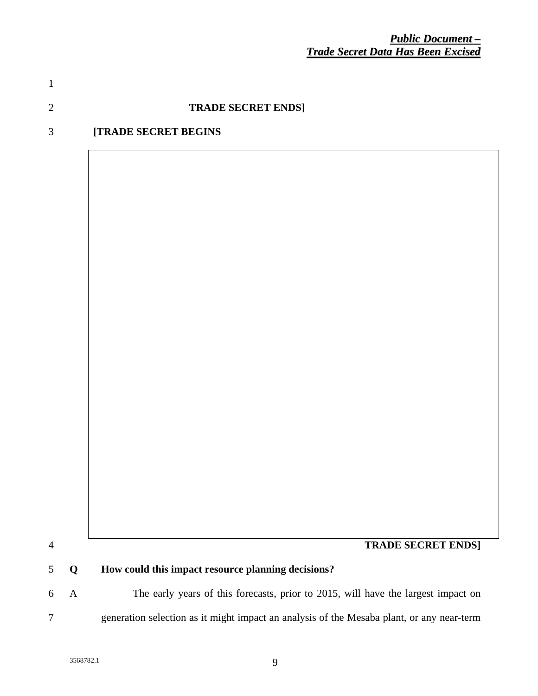## 2 *forecasted for 2007.* **TRADE SECRET ENDS]**

1 *\$5.414/MMBTU in 2010 is more than 40% lower than the \$9.029/MMBTU price being* 

## 3 **[TRADE SECRET BEGINS**

4 **TRADE SECRET ENDS]** 

## 5 **Q How could this impact resource planning decisions?**

6 A The early years of this forecasts, prior to 2015, will have the largest impact on 7 generation selection as it might impact an analysis of the Mesaba plant, or any near-term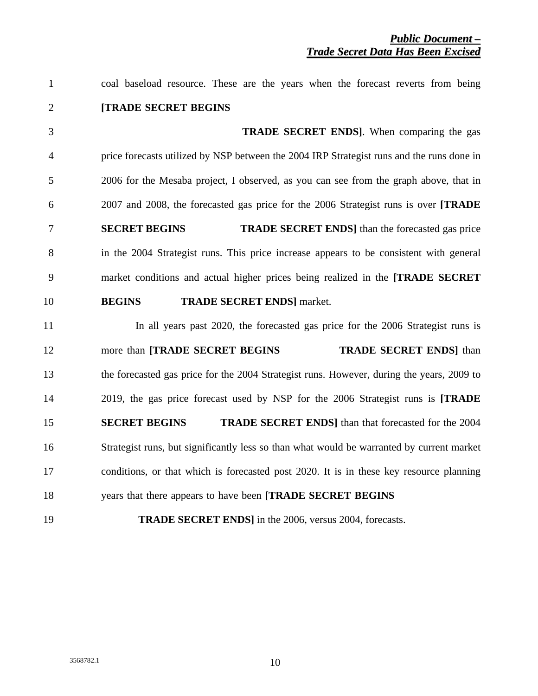| $\mathbf{1}$   | coal baseload resource. These are the years when the forecast reverts from being          |
|----------------|-------------------------------------------------------------------------------------------|
| $\overline{2}$ | [TRADE SECRET BEGINS                                                                      |
| 3              | <b>TRADE SECRET ENDS</b> ]. When comparing the gas                                        |
| $\overline{4}$ | price forecasts utilized by NSP between the 2004 IRP Strategist runs and the runs done in |
| 5              | 2006 for the Mesaba project, I observed, as you can see from the graph above, that in     |
| 6              | 2007 and 2008, the forecasted gas price for the 2006 Strategist runs is over [TRADE]      |
| $\overline{7}$ | <b>SECRET BEGINS</b><br><b>TRADE SECRET ENDS</b> than the forecasted gas price            |
| 8              | in the 2004 Strategist runs. This price increase appears to be consistent with general    |
| 9              | market conditions and actual higher prices being realized in the [TRADE SECRET            |
| 10             | <b>BEGINS</b><br><b>TRADE SECRET ENDS</b> ] market.                                       |
| 11             | In all years past 2020, the forecasted gas price for the 2006 Strategist runs is          |
| 12             | <b>TRADE SECRET ENDS</b> ] than<br>more than [TRADE SECRET BEGINS]                        |
| 13             | the forecasted gas price for the 2004 Strategist runs. However, during the years, 2009 to |
| 14             | 2019, the gas price forecast used by NSP for the 2006 Strategist runs is [TRADE           |
| 15             | <b>SECRET BEGINS</b><br><b>TRADE SECRET ENDS</b> ] than that forecasted for the 2004      |
| 16             | Strategist runs, but significantly less so than what would be warranted by current market |
| 17             | conditions, or that which is forecasted post 2020. It is in these key resource planning   |
| 18             | years that there appears to have been [TRADE SECRET BEGINS]                               |
| 19             | <b>TRADE SECRET ENDS</b> ] in the 2006, versus 2004, forecasts.                           |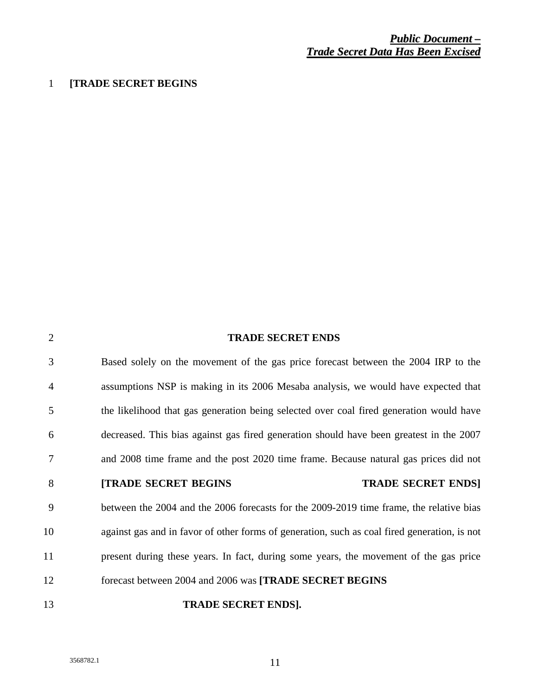## 1 **[TRADE SECRET BEGINS**

| 2              | <b>TRADE SECRET ENDS</b>                                                                     |
|----------------|----------------------------------------------------------------------------------------------|
| 3              | Based solely on the movement of the gas price forecast between the 2004 IRP to the           |
| $\overline{4}$ | assumptions NSP is making in its 2006 Mesaba analysis, we would have expected that           |
| 5              | the likelihood that gas generation being selected over coal fired generation would have      |
| 6              | decreased. This bias against gas fired generation should have been greatest in the 2007      |
| 7              | and 2008 time frame and the post 2020 time frame. Because natural gas prices did not         |
| 8              | <b>TRADE SECRET ENDS!</b><br><b>[TRADE SECRET BEGINS</b>                                     |
| 9              | between the 2004 and the 2006 forecasts for the 2009-2019 time frame, the relative bias      |
| 10             | against gas and in favor of other forms of generation, such as coal fired generation, is not |
| 11             | present during these years. In fact, during some years, the movement of the gas price        |
| 12             | forecast between 2004 and 2006 was [TRADE SECRET BEGINS                                      |
| 13             | <b>TRADE SECRET ENDS].</b>                                                                   |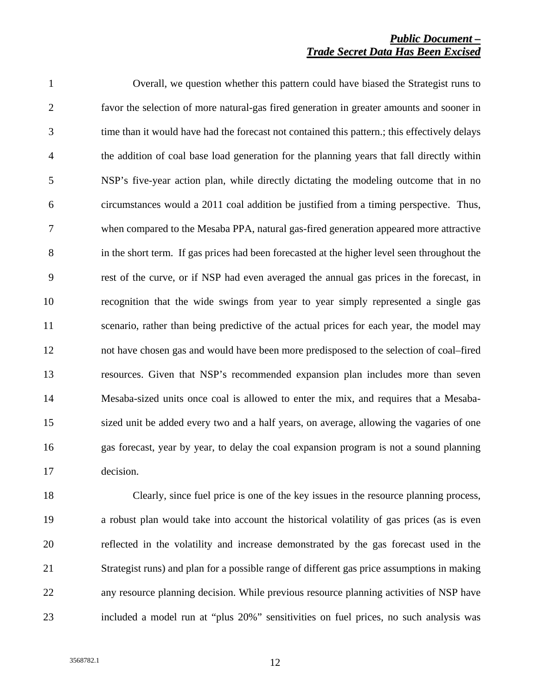| $\mathbf{1}$   | Overall, we question whether this pattern could have biased the Strategist runs to            |
|----------------|-----------------------------------------------------------------------------------------------|
| $\overline{2}$ | favor the selection of more natural-gas fired generation in greater amounts and sooner in     |
| 3              | time than it would have had the forecast not contained this pattern.; this effectively delays |
| $\overline{4}$ | the addition of coal base load generation for the planning years that fall directly within    |
| 5              | NSP's five-year action plan, while directly dictating the modeling outcome that in no         |
| 6              | circumstances would a 2011 coal addition be justified from a timing perspective. Thus,        |
| $\overline{7}$ | when compared to the Mesaba PPA, natural gas-fired generation appeared more attractive        |
| 8              | in the short term. If gas prices had been forecasted at the higher level seen throughout the  |
| 9              | rest of the curve, or if NSP had even averaged the annual gas prices in the forecast, in      |
| 10             | recognition that the wide swings from year to year simply represented a single gas            |
| 11             | scenario, rather than being predictive of the actual prices for each year, the model may      |
| 12             | not have chosen gas and would have been more predisposed to the selection of coal-fired       |
| 13             | resources. Given that NSP's recommended expansion plan includes more than seven               |
| 14             | Mesaba-sized units once coal is allowed to enter the mix, and requires that a Mesaba-         |
| 15             | sized unit be added every two and a half years, on average, allowing the vagaries of one      |
| 16             | gas forecast, year by year, to delay the coal expansion program is not a sound planning       |
| 17             | decision.                                                                                     |

18 Clearly, since fuel price is one of the key issues in the resource planning process, 19 a robust plan would take into account the historical volatility of gas prices (as is even 20 reflected in the volatility and increase demonstrated by the gas forecast used in the 21 Strategist runs) and plan for a possible range of different gas price assumptions in making 22 any resource planning decision. While previous resource planning activities of NSP have 23 included a model run at "plus 20%" sensitivities on fuel prices, no such analysis was